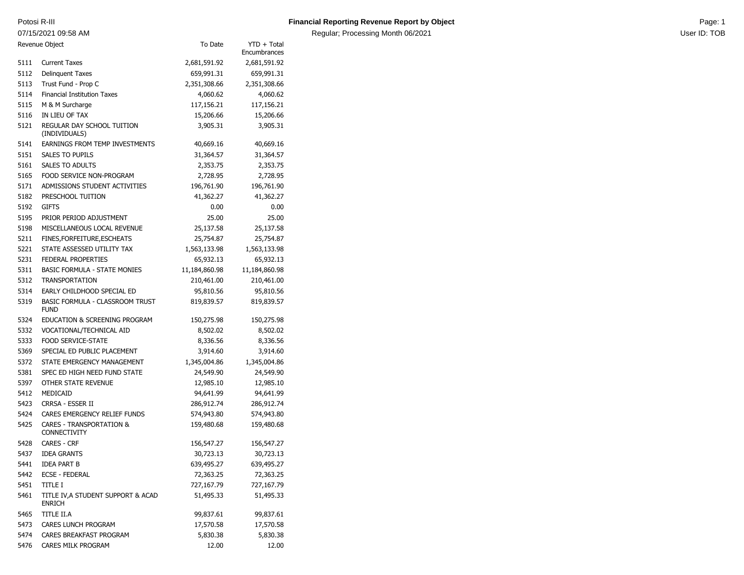07/15/2021 09:58 AM

Regular; Processing Month 06/2021 **No. 3 and 3 and 3 and 3 and 3 and 3 and 3 and 3 and 4 and 4 and 4 and 4 and 4 and 4 and 4 and 4 and 4 and 4 and 4 and 4 and 4 and 4 and 4 and 4 and 4 and 4 and 4 and 4 and 4 and 4 and 4 a** 

| Revenue Object<br>To Date |                                                            | $YTD + Total$<br>Encumbrances |               |
|---------------------------|------------------------------------------------------------|-------------------------------|---------------|
| 5111                      | <b>Current Taxes</b>                                       | 2,681,591.92                  | 2,681,591.92  |
| 5112                      | <b>Delinquent Taxes</b>                                    | 659,991.31                    | 659,991.31    |
| 5113                      | Trust Fund - Prop C                                        | 2,351,308.66                  | 2,351,308.66  |
| 5114                      | <b>Financial Institution Taxes</b>                         | 4,060.62                      | 4,060.62      |
| 5115                      | M & M Surcharge                                            | 117,156.21                    | 117,156.21    |
| 5116                      | IN LIEU OF TAX                                             | 15,206.66                     | 15,206.66     |
| 5121                      | REGULAR DAY SCHOOL TUITION<br>(INDIVIDUALS)                | 3,905.31                      | 3,905.31      |
| 5141                      | <b>EARNINGS FROM TEMP INVESTMENTS</b>                      | 40,669.16                     | 40,669.16     |
| 5151                      | <b>SALES TO PUPILS</b>                                     | 31,364.57                     | 31,364.57     |
| 5161                      | <b>SALES TO ADULTS</b>                                     | 2,353.75                      | 2,353.75      |
| 5165                      | FOOD SERVICE NON-PROGRAM                                   | 2,728.95                      | 2,728.95      |
| 5171                      | ADMISSIONS STUDENT ACTIVITIES                              | 196,761.90                    | 196,761.90    |
| 5182                      | PRESCHOOL TUITION                                          | 41,362.27                     | 41,362.27     |
| 5192                      | <b>GIFTS</b>                                               | 0.00                          | 0.00          |
| 5195                      | PRIOR PERIOD ADJUSTMENT                                    | 25.00                         | 25.00         |
| 5198                      | MISCELLANEOUS LOCAL REVENUE                                | 25,137.58                     | 25,137.58     |
| 5211                      | FINES, FOR FEITURE, ESCHEATS                               | 25,754.87                     | 25,754.87     |
| 5221                      | STATE ASSESSED UTILITY TAX                                 | 1,563,133.98                  | 1,563,133.98  |
| 5231                      | <b>FEDERAL PROPERTIES</b>                                  | 65,932.13                     | 65,932.13     |
| 5311                      | <b>BASIC FORMULA - STATE MONIES</b>                        | 11,184,860.98                 | 11,184,860.98 |
| 5312                      | <b>TRANSPORTATION</b>                                      | 210,461.00                    | 210,461.00    |
| 5314                      | EARLY CHILDHOOD SPECIAL ED                                 | 95,810.56                     | 95,810.56     |
| 5319                      | BASIC FORMULA - CLASSROOM TRUST<br><b>FUND</b>             | 819,839.57                    | 819,839.57    |
| 5324                      | EDUCATION & SCREENING PROGRAM                              | 150,275.98                    | 150,275.98    |
| 5332                      | VOCATIONAL/TECHNICAL AID                                   | 8,502.02                      | 8,502.02      |
| 5333                      | <b>FOOD SERVICE-STATE</b>                                  | 8,336.56                      | 8,336.56      |
| 5369                      | SPECIAL ED PUBLIC PLACEMENT                                | 3,914.60                      | 3,914.60      |
| 5372                      | STATE EMERGENCY MANAGEMENT                                 | 1,345,004.86                  | 1,345,004.86  |
| 5381                      | SPEC ED HIGH NEED FUND STATE                               | 24,549.90                     | 24,549.90     |
| 5397                      | OTHER STATE REVENUE                                        | 12,985.10                     | 12,985.10     |
| 5412                      | MEDICAID                                                   | 94,641.99                     | 94,641.99     |
| 5423                      | CRRSA - ESSER II                                           | 286,912.74                    | 286,912.74    |
| 5424                      | CARES EMERGENCY RELIEF FUNDS                               | 574,943.80                    | 574,943.80    |
| 5425                      | <b>CARES - TRANSPORTATION &amp;</b><br><b>CONNECTIVITY</b> | 159,480.68                    | 159,480.68    |
| 5428                      | <b>CARES - CRF</b>                                         | 156,547.27                    | 156,547.27    |
| 5437                      | <b>IDEA GRANTS</b>                                         | 30,723.13                     | 30,723.13     |
| 5441                      | IDEA PART B                                                | 639,495.27                    | 639,495.27    |
| 5442                      | <b>ECSE - FEDERAL</b>                                      | 72,363.25                     | 72,363.25     |
| 5451                      | title i                                                    | 727,167.79                    | 727,167.79    |
| 5461                      | TITLE IV, A STUDENT SUPPORT & ACAD<br>ENRICH               | 51,495.33                     | 51,495.33     |
| 5465                      | TITLE II.A                                                 | 99,837.61                     | 99,837.61     |
| 5473                      | CARES LUNCH PROGRAM                                        | 17,570.58                     | 17,570.58     |
| 5474                      | CARES BREAKFAST PROGRAM                                    | 5,830.38                      | 5,830.38      |
| 5476                      | CARES MILK PROGRAM                                         | 12.00                         | 12.00         |